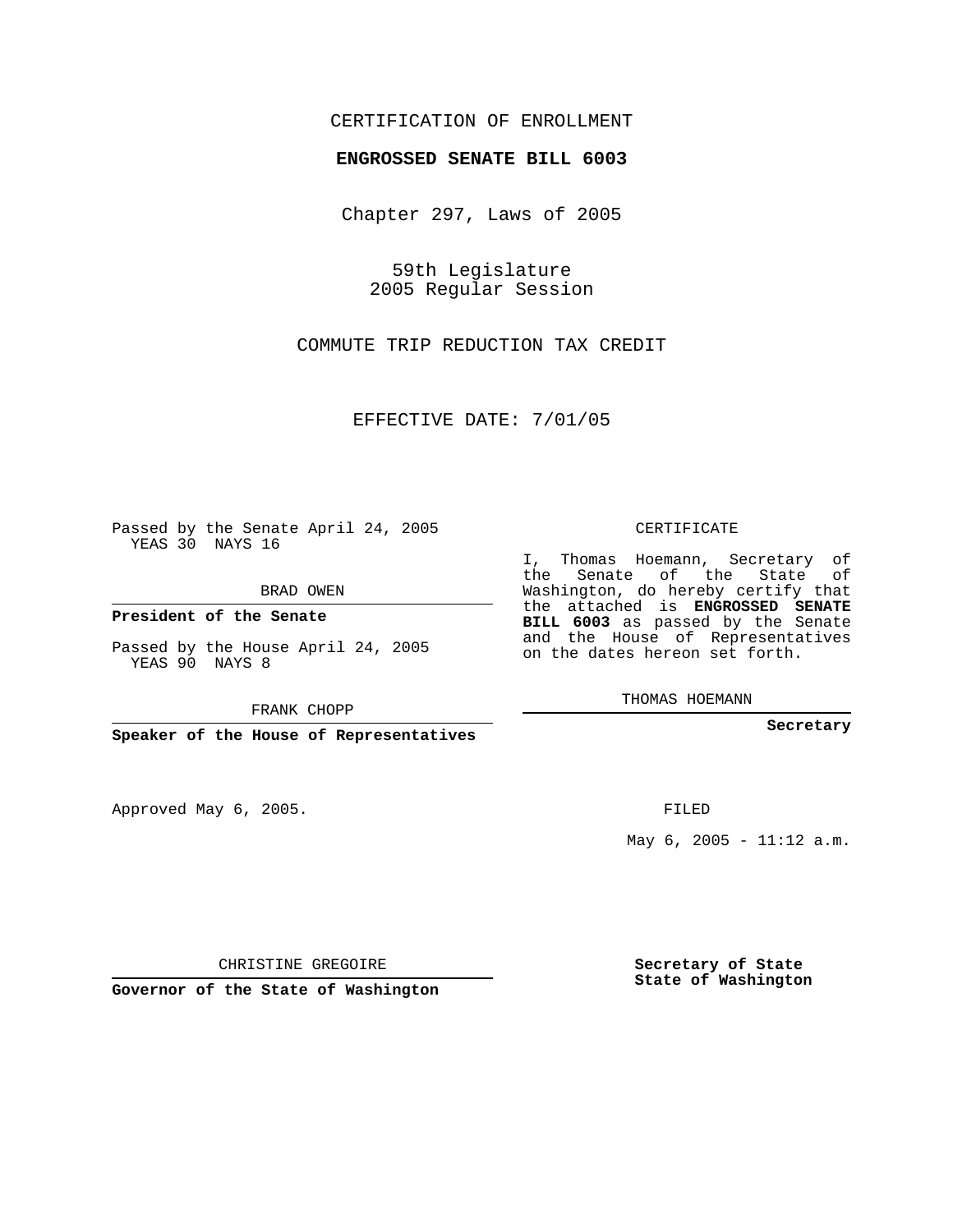## CERTIFICATION OF ENROLLMENT

## **ENGROSSED SENATE BILL 6003**

Chapter 297, Laws of 2005

59th Legislature 2005 Regular Session

COMMUTE TRIP REDUCTION TAX CREDIT

EFFECTIVE DATE: 7/01/05

Passed by the Senate April 24, 2005 YEAS 30 NAYS 16

BRAD OWEN

**President of the Senate**

Passed by the House April 24, 2005 YEAS 90 NAYS 8

FRANK CHOPP

**Speaker of the House of Representatives**

Approved May 6, 2005.

CERTIFICATE

I, Thomas Hoemann, Secretary of the Senate of the State of Washington, do hereby certify that the attached is **ENGROSSED SENATE BILL 6003** as passed by the Senate and the House of Representatives on the dates hereon set forth.

THOMAS HOEMANN

**Secretary**

FILED

May  $6, 2005 - 11:12$  a.m.

CHRISTINE GREGOIRE

**Governor of the State of Washington**

**Secretary of State State of Washington**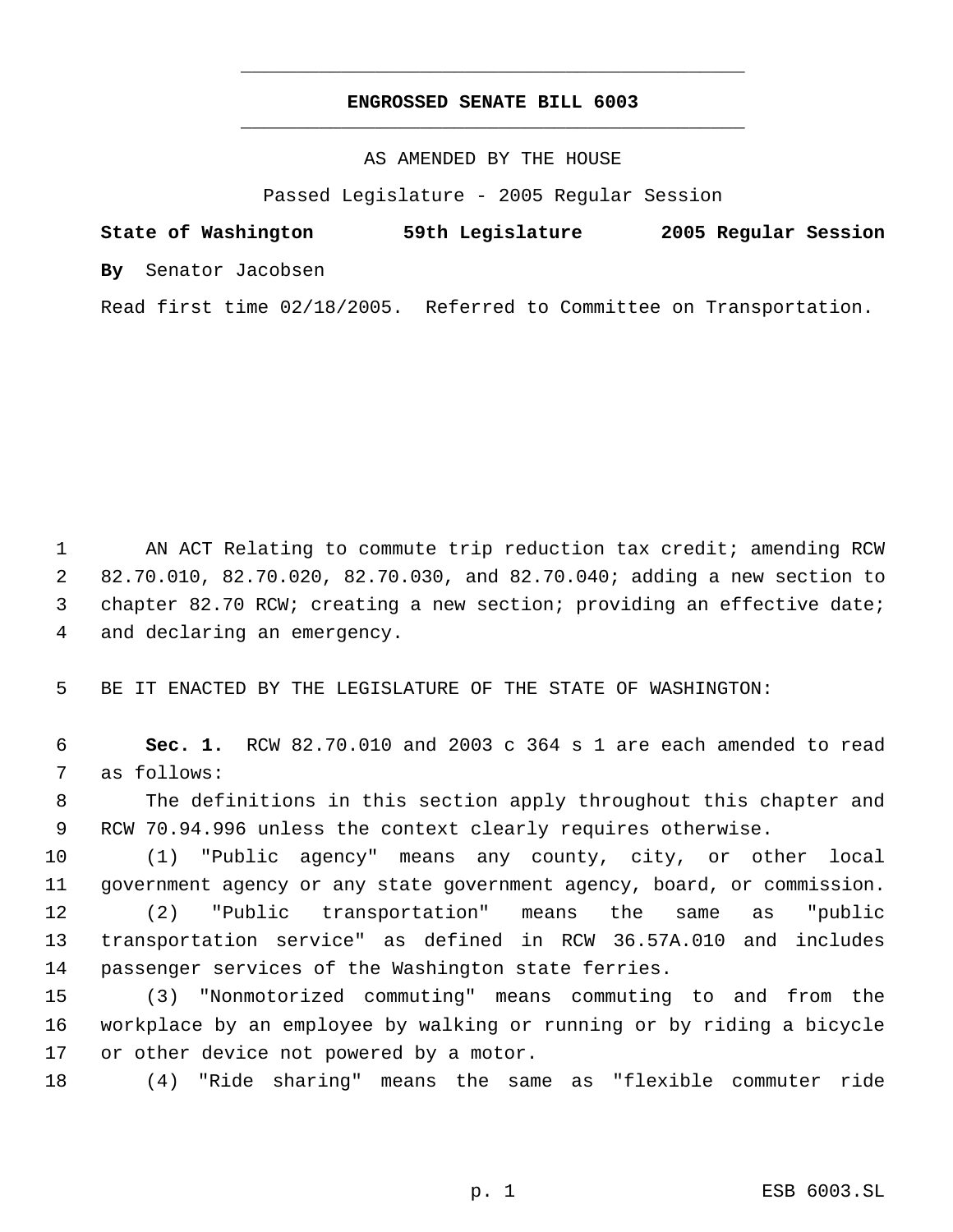## **ENGROSSED SENATE BILL 6003** \_\_\_\_\_\_\_\_\_\_\_\_\_\_\_\_\_\_\_\_\_\_\_\_\_\_\_\_\_\_\_\_\_\_\_\_\_\_\_\_\_\_\_\_\_

\_\_\_\_\_\_\_\_\_\_\_\_\_\_\_\_\_\_\_\_\_\_\_\_\_\_\_\_\_\_\_\_\_\_\_\_\_\_\_\_\_\_\_\_\_

AS AMENDED BY THE HOUSE

Passed Legislature - 2005 Regular Session

**State of Washington 59th Legislature 2005 Regular Session By** Senator Jacobsen

Read first time 02/18/2005. Referred to Committee on Transportation.

1 AN ACT Relating to commute trip reduction tax credit; amending RCW 82.70.010, 82.70.020, 82.70.030, and 82.70.040; adding a new section to chapter 82.70 RCW; creating a new section; providing an effective date; and declaring an emergency.

5 BE IT ENACTED BY THE LEGISLATURE OF THE STATE OF WASHINGTON:

 6 **Sec. 1.** RCW 82.70.010 and 2003 c 364 s 1 are each amended to read 7 as follows:

 8 The definitions in this section apply throughout this chapter and 9 RCW 70.94.996 unless the context clearly requires otherwise.

 (1) "Public agency" means any county, city, or other local government agency or any state government agency, board, or commission. (2) "Public transportation" means the same as "public transportation service" as defined in RCW 36.57A.010 and includes passenger services of the Washington state ferries.

15 (3) "Nonmotorized commuting" means commuting to and from the 16 workplace by an employee by walking or running or by riding a bicycle 17 or other device not powered by a motor.

18 (4) "Ride sharing" means the same as "flexible commuter ride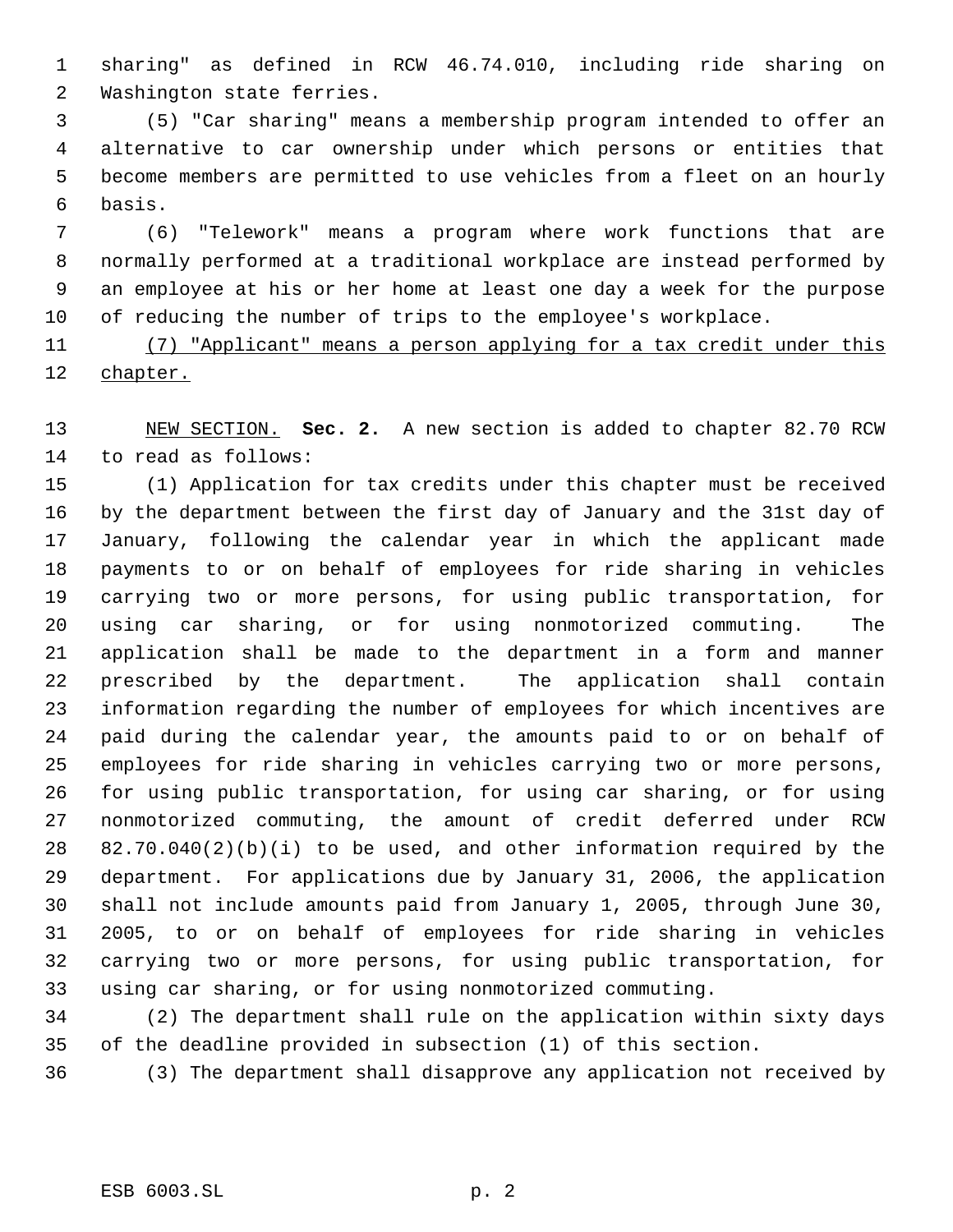sharing" as defined in RCW 46.74.010, including ride sharing on Washington state ferries.

 (5) "Car sharing" means a membership program intended to offer an alternative to car ownership under which persons or entities that become members are permitted to use vehicles from a fleet on an hourly basis.

 (6) "Telework" means a program where work functions that are normally performed at a traditional workplace are instead performed by an employee at his or her home at least one day a week for the purpose of reducing the number of trips to the employee's workplace.

 (7) "Applicant" means a person applying for a tax credit under this chapter.

 NEW SECTION. **Sec. 2.** A new section is added to chapter 82.70 RCW to read as follows:

 (1) Application for tax credits under this chapter must be received by the department between the first day of January and the 31st day of January, following the calendar year in which the applicant made payments to or on behalf of employees for ride sharing in vehicles carrying two or more persons, for using public transportation, for using car sharing, or for using nonmotorized commuting. The application shall be made to the department in a form and manner prescribed by the department. The application shall contain information regarding the number of employees for which incentives are paid during the calendar year, the amounts paid to or on behalf of employees for ride sharing in vehicles carrying two or more persons, for using public transportation, for using car sharing, or for using nonmotorized commuting, the amount of credit deferred under RCW 82.70.040(2)(b)(i) to be used, and other information required by the department. For applications due by January 31, 2006, the application shall not include amounts paid from January 1, 2005, through June 30, 2005, to or on behalf of employees for ride sharing in vehicles carrying two or more persons, for using public transportation, for using car sharing, or for using nonmotorized commuting.

 (2) The department shall rule on the application within sixty days of the deadline provided in subsection (1) of this section.

(3) The department shall disapprove any application not received by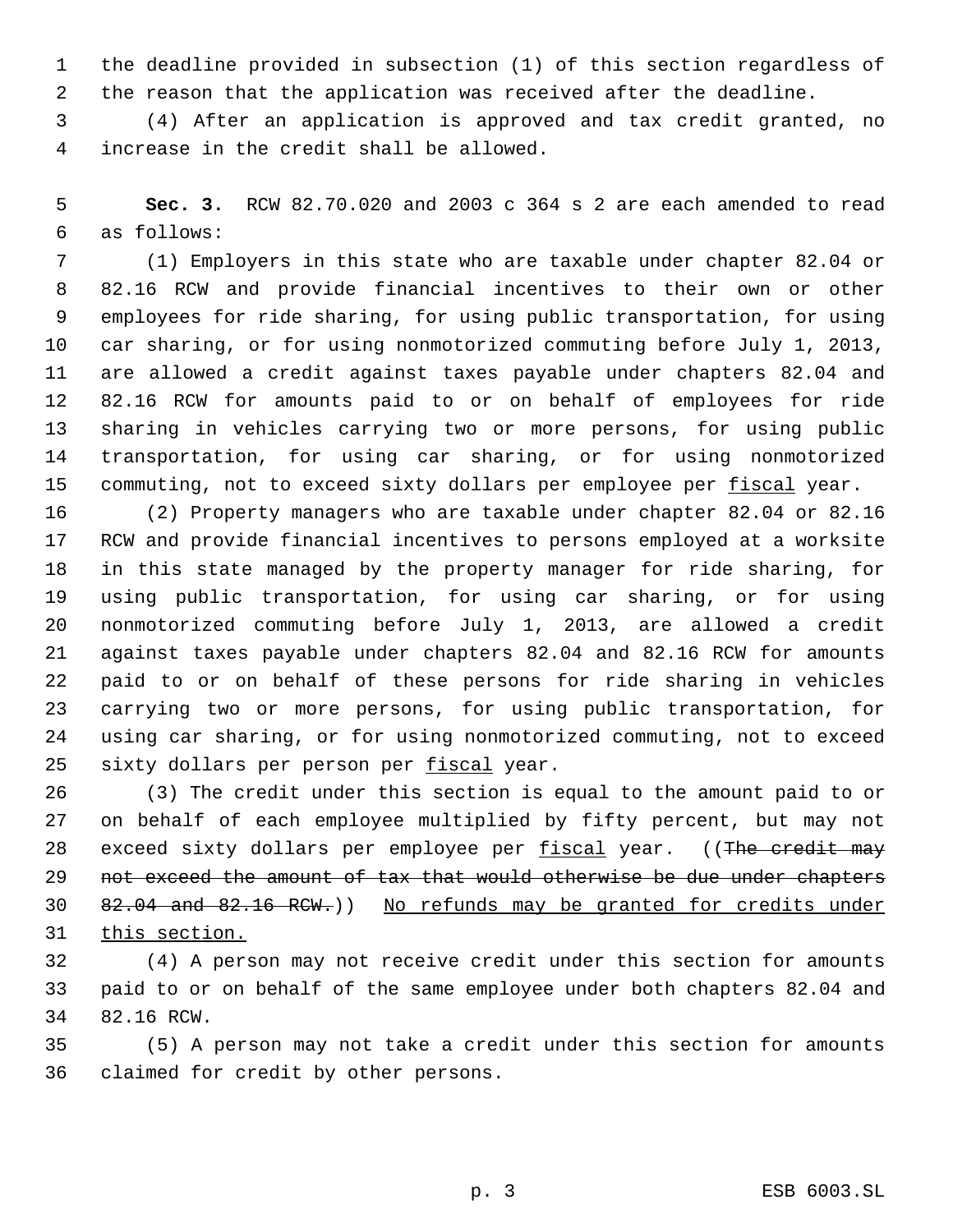the deadline provided in subsection (1) of this section regardless of the reason that the application was received after the deadline.

 (4) After an application is approved and tax credit granted, no increase in the credit shall be allowed.

 **Sec. 3.** RCW 82.70.020 and 2003 c 364 s 2 are each amended to read as follows:

 (1) Employers in this state who are taxable under chapter 82.04 or 82.16 RCW and provide financial incentives to their own or other employees for ride sharing, for using public transportation, for using car sharing, or for using nonmotorized commuting before July 1, 2013, are allowed a credit against taxes payable under chapters 82.04 and 82.16 RCW for amounts paid to or on behalf of employees for ride sharing in vehicles carrying two or more persons, for using public transportation, for using car sharing, or for using nonmotorized 15 commuting, not to exceed sixty dollars per employee per fiscal year.

 (2) Property managers who are taxable under chapter 82.04 or 82.16 RCW and provide financial incentives to persons employed at a worksite in this state managed by the property manager for ride sharing, for using public transportation, for using car sharing, or for using nonmotorized commuting before July 1, 2013, are allowed a credit against taxes payable under chapters 82.04 and 82.16 RCW for amounts paid to or on behalf of these persons for ride sharing in vehicles carrying two or more persons, for using public transportation, for using car sharing, or for using nonmotorized commuting, not to exceed 25 sixty dollars per person per fiscal year.

 (3) The credit under this section is equal to the amount paid to or on behalf of each employee multiplied by fifty percent, but may not 28 exceed sixty dollars per employee per fiscal year. ((The credit may 29 not exceed the amount of tax that would otherwise be due under chapters 82.04 and 82.16 RCW.)) No refunds may be granted for credits under this section.

 (4) A person may not receive credit under this section for amounts paid to or on behalf of the same employee under both chapters 82.04 and 82.16 RCW.

 (5) A person may not take a credit under this section for amounts claimed for credit by other persons.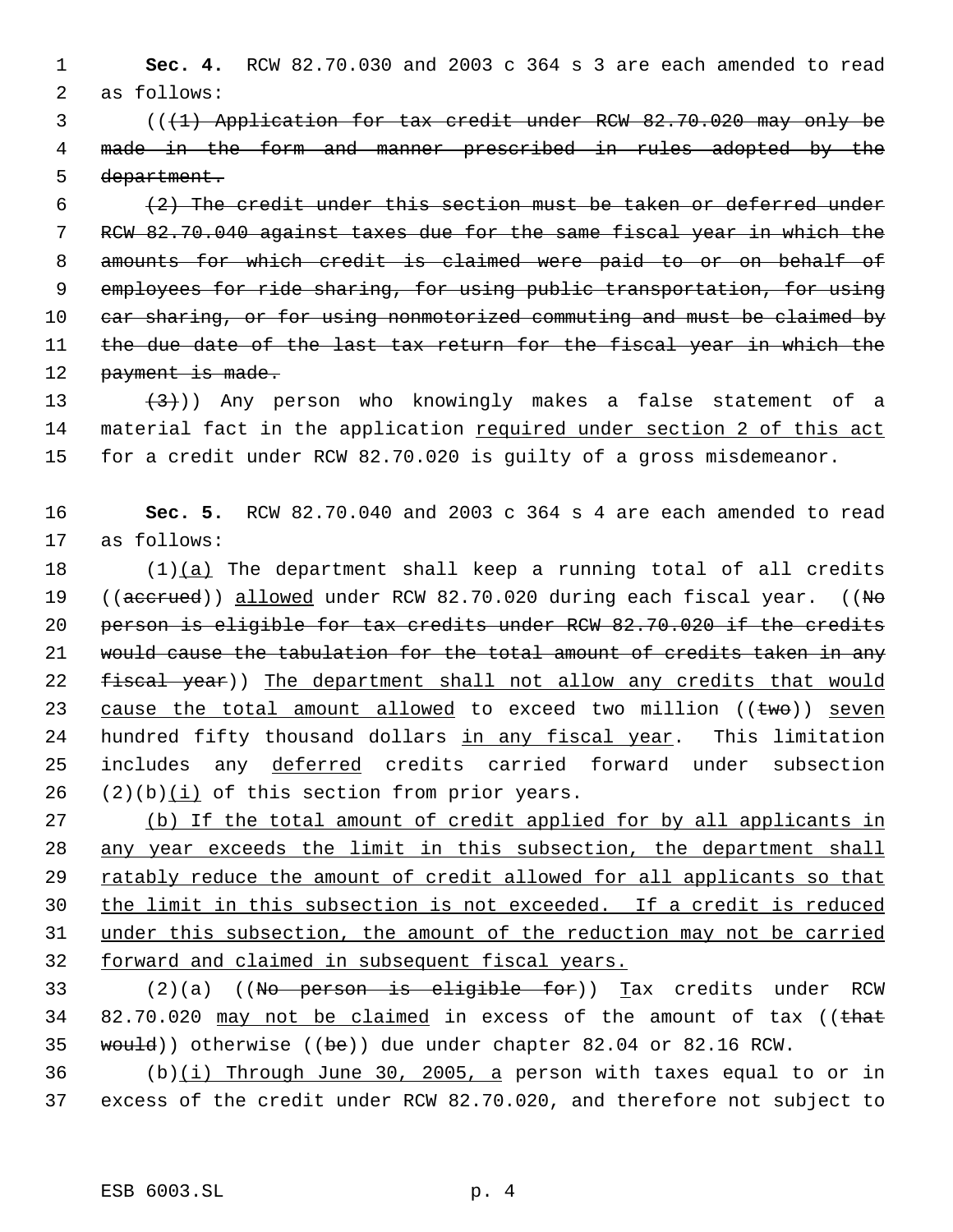1 **Sec. 4.** RCW 82.70.030 and 2003 c 364 s 3 are each amended to read 2 as follows:

 3 (((1) Application for tax credit under RCW 82.70.020 may only be 4 made in the form and manner prescribed in rules adopted by the 5 department.

 $6$  (2) The credit under this section must be taken or deferred under 7 RCW 82.70.040 against taxes due for the same fiscal year in which the 8 amounts for which credit is claimed were paid to or on behalf of 9 employees for ride sharing, for using public transportation, for using 10 car sharing, or for using nonmotorized commuting and must be claimed by 11 the due date of the last tax return for the fiscal year in which the 12 payment is made.

13  $(3)$ )) Any person who knowingly makes a false statement of a 14 material fact in the application required under section 2 of this act 15 for a credit under RCW 82.70.020 is guilty of a gross misdemeanor.

## 16 **Sec. 5.** RCW 82.70.040 and 2003 c 364 s 4 are each amended to read 17 as follows:

18  $(1)(a)$  The department shall keep a running total of all credits 19 ((accrued)) allowed under RCW 82.70.020 during each fiscal year. ((No 20 person is eligible for tax credits under RCW 82.70.020 if the credits 21 would cause the tabulation for the total amount of credits taken in any 22 fiscal year)) The department shall not allow any credits that would 23 cause the total amount allowed to exceed two million ((two)) seven 24 hundred fifty thousand dollars in any fiscal year. This limitation 25 includes any deferred credits carried forward under subsection 26  $(2)(b)(i)$  of this section from prior years.

27 (b) If the total amount of credit applied for by all applicants in any year exceeds the limit in this subsection, the department shall 29 ratably reduce the amount of credit allowed for all applicants so that the limit in this subsection is not exceeded. If a credit is reduced under this subsection, the amount of the reduction may not be carried forward and claimed in subsequent fiscal years.

33 (2)(a) ((No person is eligible for)) Tax credits under RCW 34 82.70.020 may not be claimed in excess of the amount of tax ((that 35 would)) otherwise ((be)) due under chapter 82.04 or 82.16 RCW.

 $36$  (b)(i) Through June 30, 2005, a person with taxes equal to or in 37 excess of the credit under RCW 82.70.020, and therefore not subject to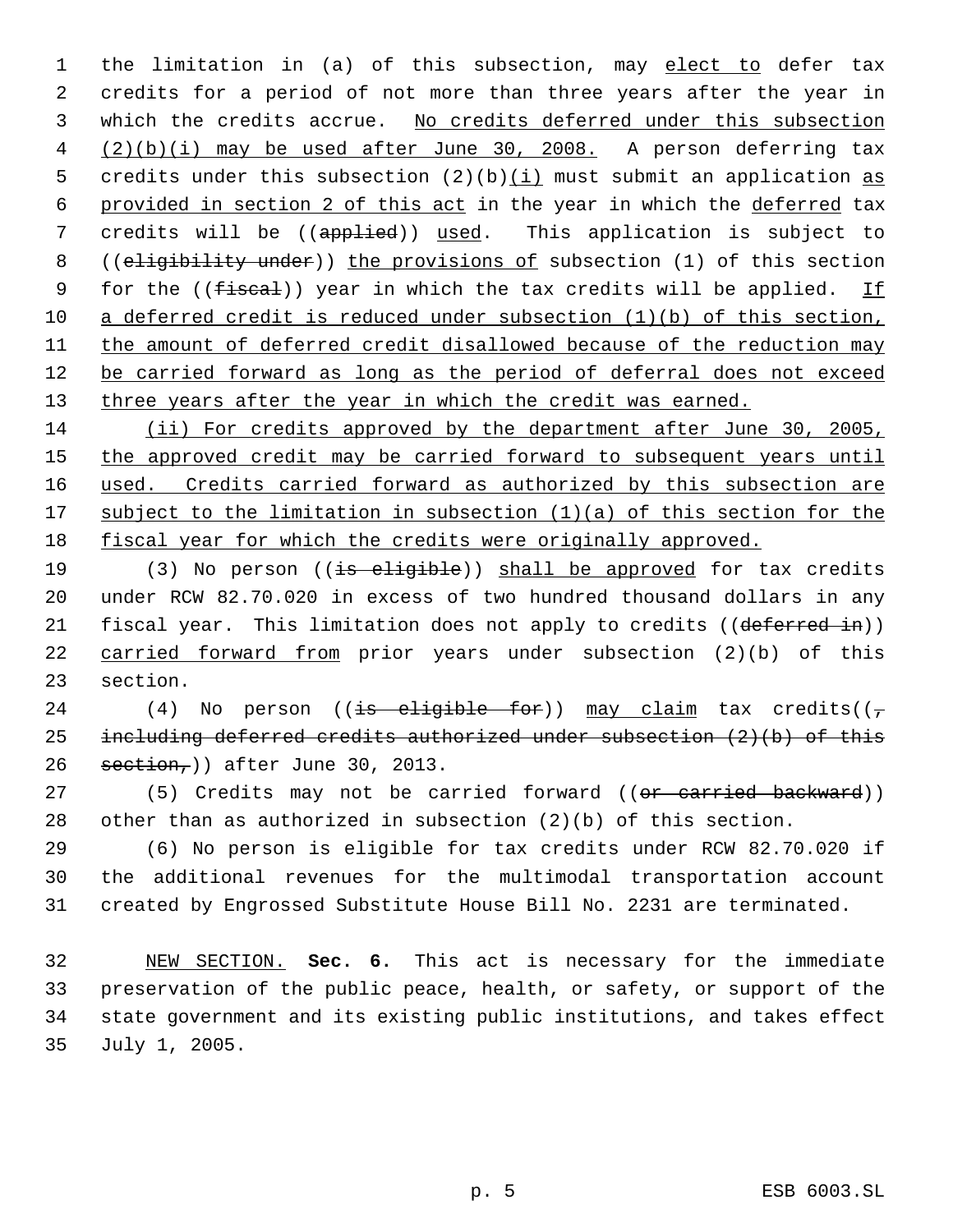1 the limitation in (a) of this subsection, may elect to defer tax 2 credits for a period of not more than three years after the year in 3 which the credits accrue. No credits deferred under this subsection 4 (2)(b)(i) may be used after June 30, 2008. A person deferring tax 5 credits under this subsection  $(2)(b)(i)$  must submit an application as 6 provided in section 2 of this act in the year in which the deferred tax 7 credits will be ((applied)) used. This application is subject to 8 ((eligibility under)) the provisions of subsection (1) of this section 9 for the ((fiscal)) year in which the tax credits will be applied. If 10 a deferred credit is reduced under subsection (1)(b) of this section, 11 the amount of deferred credit disallowed because of the reduction may 12 be carried forward as long as the period of deferral does not exceed 13 three years after the year in which the credit was earned.

14 (ii) For credits approved by the department after June 30, 2005, 15 the approved credit may be carried forward to subsequent years until 16 used. Credits carried forward as authorized by this subsection are 17 subject to the limitation in subsection (1)(a) of this section for the 18 fiscal year for which the credits were originally approved.

19 (3) No person ((is eligible)) shall be approved for tax credits 20 under RCW 82.70.020 in excess of two hundred thousand dollars in any 21 fiscal year. This limitation does not apply to credits ((deferred in)) 22 carried forward from prior years under subsection (2)(b) of this 23 section.

24 (4) No person ((is eligible for)) may claim tax credits( $(\tau$ 25 including deferred credits authorized under subsection  $(2)(b)$  of this 26  $setion<sub>r</sub>$ ) after June 30, 2013.

27 (5) Credits may not be carried forward ((or carried backward)) 28 other than as authorized in subsection (2)(b) of this section.

29 (6) No person is eligible for tax credits under RCW 82.70.020 if 30 the additional revenues for the multimodal transportation account 31 created by Engrossed Substitute House Bill No. 2231 are terminated.

 NEW SECTION. **Sec. 6.** This act is necessary for the immediate preservation of the public peace, health, or safety, or support of the state government and its existing public institutions, and takes effect July 1, 2005.